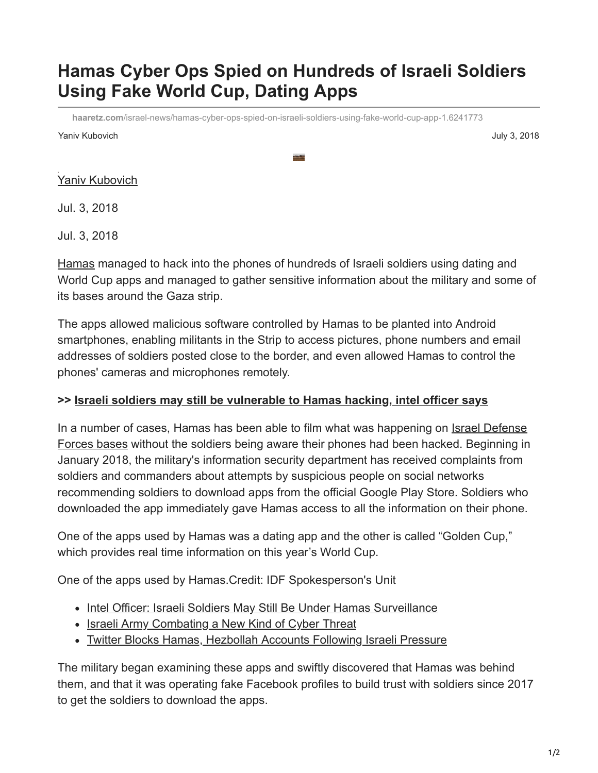## **Hamas Cyber Ops Spied on Hundreds of Israeli Soldiers Using Fake World Cup, Dating Apps**

**haaretz.com**[/israel-news/hamas-cyber-ops-spied-on-israeli-soldiers-using-fake-world-cup-app-1.6241773](https://www.haaretz.com/israel-news/hamas-cyber-ops-spied-on-israeli-soldiers-using-fake-world-cup-app-1.6241773)

Yaniv Kubovich July 3, 2018

[Yaniv Kubovich](https://www.haaretz.com/ty-WRITER/0000017f-da24-d249-ab7f-fbe4843e0000)

Jul. 3, 2018

Jul. 3, 2018

[Hamas](https://www.haaretz.com/misc/tags/hamas-1.5598922) managed to hack into the phones of hundreds of Israeli soldiers using dating and World Cup apps and managed to gather sensitive information about the military and some of its bases around the Gaza strip.

The apps allowed malicious software controlled by Hamas to be planted into Android smartphones, enabling militants in the Strip to access pictures, phone numbers and email addresses of soldiers posted close to the border, and even allowed Hamas to control the phones' cameras and microphones remotely.

## **>> [Israeli soldiers may still be vulnerable to Hamas hacking, intel officer says](https://www.haaretz.com/israel-news/.premium-intel-officer-israeli-soldiers-may-still-be-under-hamas-surveillance-1.6241971)**

[In a number of cases, Hamas has been able to film what was happening on Israel Defense](https://www.haaretz.com/misc/tags/idf-1.5598943) Forces bases without the soldiers being aware their phones had been hacked. Beginning in January 2018, the military's information security department has received complaints from soldiers and commanders about attempts by suspicious people on social networks recommending soldiers to download apps from the official Google Play Store. Soldiers who downloaded the app immediately gave Hamas access to all the information on their phone.

One of the apps used by Hamas was a dating app and the other is called "Golden Cup," which provides real time information on this year's World Cup.

One of the apps used by Hamas.Credit: IDF Spokesperson's Unit

- [Intel Officer: Israeli Soldiers May Still Be Under Hamas Surveillance](https://www.haaretz.com/israel-news/2018-07-03/ty-article/intel-officer-israeli-soldiers-may-still-be-under-hamas-surveillance/0000017f-da76-d938-a17f-fe7ea5860000)
- [Israeli Army Combating a New Kind of Cyber Threat](https://www.haaretz.com/israel-news/2017-10-06/ty-article/israeli-army-combating-a-new-kind-of-cyber-threat/0000017f-e48a-d38f-a57f-e6daef480000)
- [Twitter Blocks Hamas, Hezbollah Accounts Following Israeli Pressure](https://www.haaretz.com/2018-07-03/ty-article/twitter-blocks-hamas-hezbollah-accounts-in-israel-under-pressure/0000017f-db29-db22-a17f-ffb9e2d50000)

The military began examining these apps and swiftly discovered that Hamas was behind them, and that it was operating fake Facebook profiles to build trust with soldiers since 2017 to get the soldiers to download the apps.